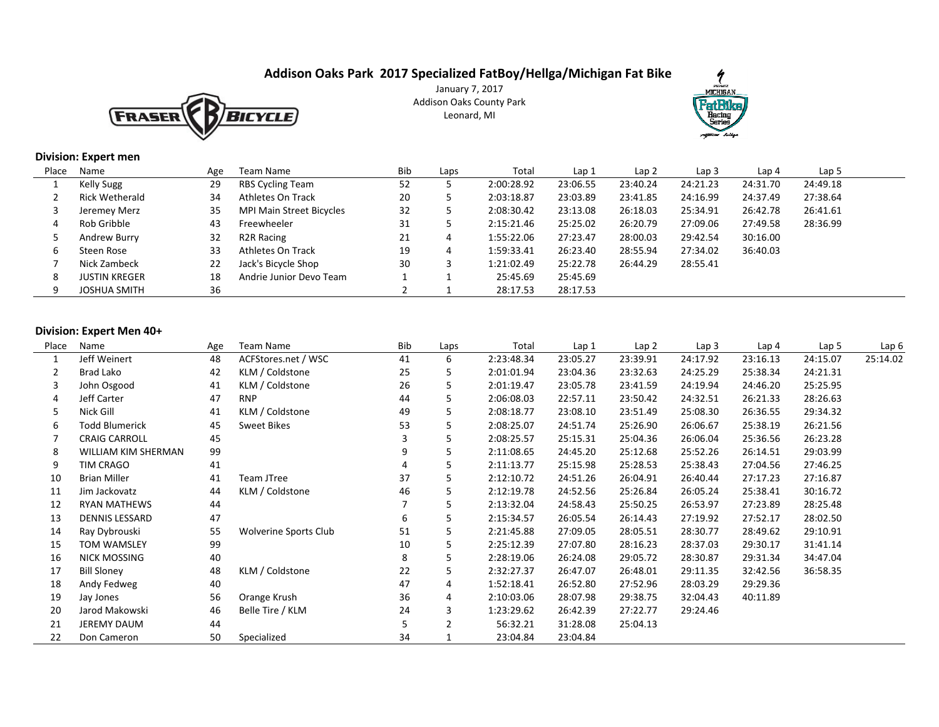# **Addison Oaks Park 2017 Specialized FatBoy/Hellga/Michigan Fat Bike**



January 7, 2017 Addison Oaks County ParkLeonard, MI



#### **Division: Expert men**

| Place | Name                 | Age | Team Name                | Bib | Laps | Total      | Lap <sub>1</sub> | Lap <sub>2</sub> | Lap <sub>3</sub> | Lap 4    | Lap 5    |
|-------|----------------------|-----|--------------------------|-----|------|------------|------------------|------------------|------------------|----------|----------|
|       | Kelly Sugg           | 29  | <b>RBS Cycling Team</b>  | 52  |      | 2:00:28.92 | 23:06.55         | 23:40.24         | 24:21.23         | 24:31.70 | 24:49.18 |
|       | Rick Wetherald       | 34  | Athletes On Track        | 20  |      | 2:03:18.87 | 23:03.89         | 23:41.85         | 24:16.99         | 24:37.49 | 27:38.64 |
|       | Jeremey Merz         | 35  | MPI Main Street Bicycles | 32  |      | 2:08:30.42 | 23:13.08         | 26:18.03         | 25:34.91         | 26:42.78 | 26:41.61 |
| 4     | Rob Gribble          | 43  | Freewheeler              | 31  |      | 2:15:21.46 | 25:25.02         | 26:20.79         | 27:09.06         | 27:49.58 | 28:36.99 |
|       | Andrew Burry         | 32  | R <sub>2</sub> R Racing  | 21  | 4    | 1:55:22.06 | 27:23.47         | 28:00.03         | 29:42.54         | 30:16.00 |          |
| b     | Steen Rose           | 33  | Athletes On Track        | 19  | 4    | 1:59:33.41 | 26:23.40         | 28:55.94         | 27:34.02         | 36:40.03 |          |
|       | Nick Zambeck         | 22  | Jack's Bicycle Shop      | 30  |      | 1:21:02.49 | 25:22.78         | 26:44.29         | 28:55.41         |          |          |
| 8     | <b>JUSTIN KREGER</b> | 18  | Andrie Junior Devo Team  |     |      | 25:45.69   | 25:45.69         |                  |                  |          |          |
|       | <b>JOSHUA SMITH</b>  | 36  |                          |     |      | 28:17.53   | 28:17.53         |                  |                  |          |          |

#### **Division: Expert Men 40+**

| Place | Name                  | Age | Team Name                    | Bib | Laps | Total      | Lap 1    | Lap <sub>2</sub> | Lap <sub>3</sub> | Lap <sub>4</sub> | Lap 5    | Lap 6    |
|-------|-----------------------|-----|------------------------------|-----|------|------------|----------|------------------|------------------|------------------|----------|----------|
|       | Jeff Weinert          | 48  | ACFStores.net / WSC          | 41  | 6    | 2:23:48.34 | 23:05.27 | 23:39.91         | 24:17.92         | 23:16.13         | 24:15.07 | 25:14.02 |
|       | Brad Lako             | 42  | KLM / Coldstone              | 25  | 5    | 2:01:01.94 | 23:04.36 | 23:32.63         | 24:25.29         | 25:38.34         | 24:21.31 |          |
| 3     | John Osgood           | 41  | KLM / Coldstone              | 26  | 5    | 2:01:19.47 | 23:05.78 | 23:41.59         | 24:19.94         | 24:46.20         | 25:25.95 |          |
| 4     | Jeff Carter           | 47  | <b>RNP</b>                   | 44  | 5    | 2:06:08.03 | 22:57.11 | 23:50.42         | 24:32.51         | 26:21.33         | 28:26.63 |          |
| 5     | Nick Gill             | 41  | KLM / Coldstone              | 49  | 5    | 2:08:18.77 | 23:08.10 | 23:51.49         | 25:08.30         | 26:36.55         | 29:34.32 |          |
| 6     | <b>Todd Blumerick</b> | 45  | <b>Sweet Bikes</b>           | 53  | 5    | 2:08:25.07 | 24:51.74 | 25:26.90         | 26:06.67         | 25:38.19         | 26:21.56 |          |
|       | <b>CRAIG CARROLL</b>  | 45  |                              | 3   | 5    | 2:08:25.57 | 25:15.31 | 25:04.36         | 26:06.04         | 25:36.56         | 26:23.28 |          |
| 8     | WILLIAM KIM SHERMAN   | 99  |                              | 9   | 5    | 2:11:08.65 | 24:45.20 | 25:12.68         | 25:52.26         | 26:14.51         | 29:03.99 |          |
| 9     | TIM CRAGO             | 41  |                              |     | 5    | 2:11:13.77 | 25:15.98 | 25:28.53         | 25:38.43         | 27:04.56         | 27:46.25 |          |
| 10    | <b>Brian Miller</b>   | 41  | Team JTree                   | 37  | 5    | 2:12:10.72 | 24:51.26 | 26:04.91         | 26:40.44         | 27:17.23         | 27:16.87 |          |
| 11    | Jim Jackovatz         | 44  | KLM / Coldstone              | 46  | 5.   | 2:12:19.78 | 24:52.56 | 25:26.84         | 26:05.24         | 25:38.41         | 30:16.72 |          |
| 12    | <b>RYAN MATHEWS</b>   | 44  |                              |     | 5    | 2:13:32.04 | 24:58.43 | 25:50.25         | 26:53.97         | 27:23.89         | 28:25.48 |          |
| 13    | DENNIS LESSARD        | 47  |                              | 6   | 5    | 2:15:34.57 | 26:05.54 | 26:14.43         | 27:19.92         | 27:52.17         | 28:02.50 |          |
| 14    | Ray Dybrouski         | 55  | <b>Wolverine Sports Club</b> | 51  | 5    | 2:21:45.88 | 27:09.05 | 28:05.51         | 28:30.77         | 28:49.62         | 29:10.91 |          |
| 15    | <b>TOM WAMSLEY</b>    | 99  |                              | 10  | 5    | 2:25:12.39 | 27:07.80 | 28:16.23         | 28:37.03         | 29:30.17         | 31:41.14 |          |
| 16    | NICK MOSSING          | 40  |                              | 8   | 5    | 2:28:19.06 | 26:24.08 | 29:05.72         | 28:30.87         | 29:31.34         | 34:47.04 |          |
| 17    | <b>Bill Sloney</b>    | 48  | KLM / Coldstone              | 22  | 5    | 2:32:27.37 | 26:47.07 | 26:48.01         | 29:11.35         | 32:42.56         | 36:58.35 |          |
| 18    | Andy Fedweg           | 40  |                              | 47  | 4    | 1:52:18.41 | 26:52.80 | 27:52.96         | 28:03.29         | 29:29.36         |          |          |
| 19    | Jay Jones             | 56  | Orange Krush                 | 36  | 4    | 2:10:03.06 | 28:07.98 | 29:38.75         | 32:04.43         | 40:11.89         |          |          |
| 20    | Jarod Makowski        | 46  | Belle Tire / KLM             | 24  | 3    | 1:23:29.62 | 26:42.39 | 27:22.77         | 29:24.46         |                  |          |          |
| 21    | JEREMY DAUM           | 44  |                              | 5   |      | 56:32.21   | 31:28.08 | 25:04.13         |                  |                  |          |          |
| 22    | Don Cameron           | 50  | Specialized                  | 34  |      | 23:04.84   | 23:04.84 |                  |                  |                  |          |          |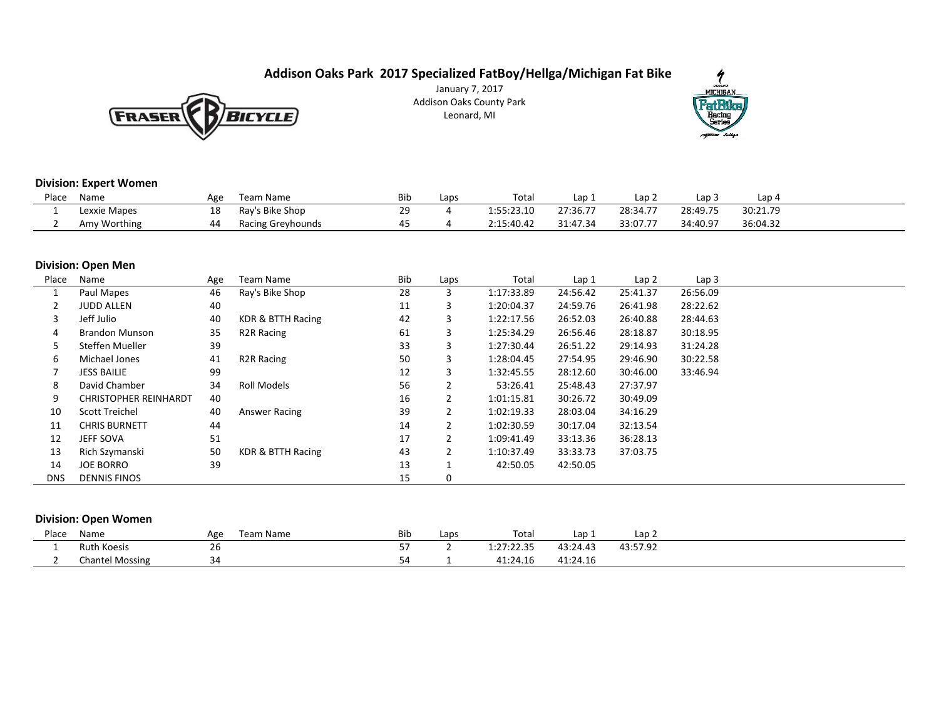# **Addison Oaks Park 2017 Specialized FatBoy/Hellga/Michigan Fat Bike**



January 7, 2017 Addison Oaks County ParkLeonard, MI



## **Division: Expert Women**

| Place | Name         | Age | Team Name         | Bıb              | $\mathsf{c}$ aps | Tota       | Lap      | Lap 2    | Lap 3    | Lap 4    |
|-------|--------------|-----|-------------------|------------------|------------------|------------|----------|----------|----------|----------|
|       | Lexxie Mapes | ᅩо  | Ray's Bike Shop   | າດ<br><u>. .</u> |                  | 1:55:23.10 | 27:36.77 | 28:34.77 | 28:49.75 | 30:21.79 |
|       | Amy Worthing |     | Racing Greyhounds |                  |                  | 2:15:40.42 | 31:47.34 | 33:07.77 | 34:40.97 | 36:04.32 |

#### **Division: Open Men**

| Place      | Name                         | Age | Team Name               | Bib | Laps | Total      | Lap 1    | Lap <sub>2</sub> | Lap <sub>3</sub> |  |  |
|------------|------------------------------|-----|-------------------------|-----|------|------------|----------|------------------|------------------|--|--|
|            | Paul Mapes                   | 46  | Ray's Bike Shop         | 28  | 3    | 1:17:33.89 | 24:56.42 | 25:41.37         | 26:56.09         |  |  |
|            | <b>JUDD ALLEN</b>            | 40  |                         | 11  | 3    | 1:20:04.37 | 24:59.76 | 26:41.98         | 28:22.62         |  |  |
|            | Jeff Julio                   | 40  | KDR & BTTH Racing       | 42  | 3    | 1:22:17.56 | 26:52.03 | 26:40.88         | 28:44.63         |  |  |
| 4          | <b>Brandon Munson</b>        | 35  | R <sub>2</sub> R Racing | 61  | 3    | 1:25:34.29 | 26:56.46 | 28:18.87         | 30:18.95         |  |  |
|            | Steffen Mueller              | 39  |                         | 33  | 3    | 1:27:30.44 | 26:51.22 | 29:14.93         | 31:24.28         |  |  |
| 6          | Michael Jones                | 41  | R <sub>2</sub> R Racing | 50  | 3    | 1:28:04.45 | 27:54.95 | 29:46.90         | 30:22.58         |  |  |
|            | <b>JESS BAILIE</b>           | 99  |                         | 12  | 3    | 1:32:45.55 | 28:12.60 | 30:46.00         | 33:46.94         |  |  |
| 8          | David Chamber                | 34  | Roll Models             | 56  |      | 53:26.41   | 25:48.43 | 27:37.97         |                  |  |  |
| 9          | <b>CHRISTOPHER REINHARDT</b> | 40  |                         | 16  | 2    | 1:01:15.81 | 30:26.72 | 30:49.09         |                  |  |  |
| 10         | Scott Treichel               | 40  | Answer Racing           | 39  |      | 1:02:19.33 | 28:03.04 | 34:16.29         |                  |  |  |
| 11         | <b>CHRIS BURNETT</b>         | 44  |                         | 14  |      | 1:02:30.59 | 30:17.04 | 32:13.54         |                  |  |  |
| 12         | <b>JEFF SOVA</b>             | 51  |                         | 17  | 2    | 1:09:41.49 | 33:13.36 | 36:28.13         |                  |  |  |
| 13         | Rich Szymanski               | 50  | KDR & BTTH Racing       | 43  |      | 1:10:37.49 | 33:33.73 | 37:03.75         |                  |  |  |
| 14         | <b>JOE BORRO</b>             | 39  |                         | 13  |      | 42:50.05   | 42:50.05 |                  |                  |  |  |
| <b>DNS</b> | <b>DENNIS FINOS</b>          |     |                         | 15  | 0    |            |          |                  |                  |  |  |

## **Division: Open Women**

| Place | Name               | Age           | Team Name | <b>Bib</b> | Laps | Tota.                     | $\sim$<br>Lap. | م دا<br>Lap |  |
|-------|--------------------|---------------|-----------|------------|------|---------------------------|----------------|-------------|--|
|       | <b>Ruth Koesis</b> | $\sim$<br>ZD. |           |            |      | 1:27:22.35                | 43:24.43       | 43:57.92    |  |
|       | Chantel Mossing    | 34            |           |            |      | 11.21.7<br>.1:24<br>4. LC | 41:24.16       |             |  |